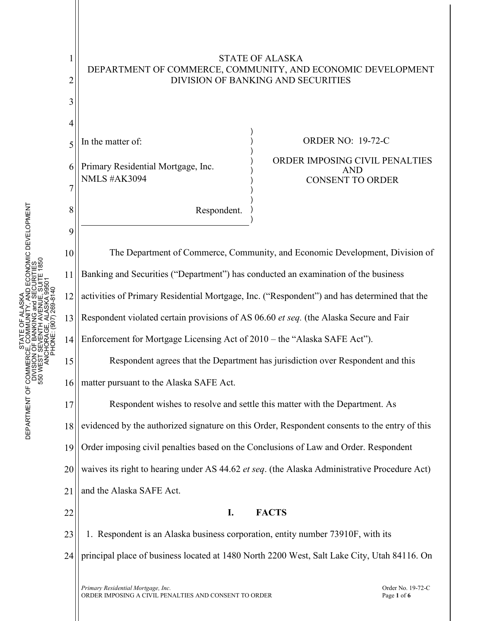

STATE OF ALASKA

23 24 1. Respondent is an Alaska business corporation, entity number 73910F, with its principal place of business located at 1480 North 2200 West, Salt Lake City, Utah 84116. On

*Primary Residential Mortgage, Inc.*  $\blacksquare$ <br>  $\blacksquare$  Order No. 19-72-C<br>
ORDER IMPOSING A CIVIL PENALTIES AND CONSENT TO ORDER ORDER IMPOSING A CIVIL PENALTIES AND CONSENT TO ORDER Page **1** of **6**

STATE OF ALASKA DEPARTMENT OF COMMERCE, COMMUNITY, AND ECONOMIC DEVELOPMENT DIVISION OF BANKING and SECURITIES 550 WEST SEVENTH AVENUE, SUITE 1850

STATE (<br>CE, COMM<br>I OF BANK

DEPARTMENT OF COMMERCE<br>DIVISION<br>S50 WEST S

ŏ

LASKA<br>TY, ABCONOMIC DEVELOPMENT<br>ENUE, SUITE 1850<br>ENUE, SUITE 1850

**GRANDE**<br>VENUE

1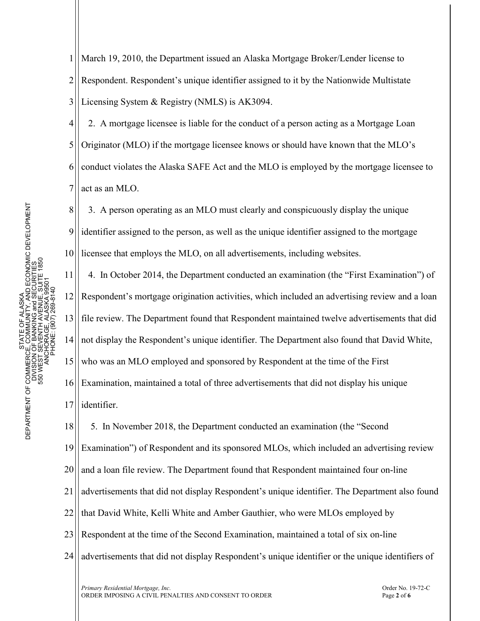1 2 3 March 19, 2010, the Department issued an Alaska Mortgage Broker/Lender license to Respondent. Respondent's unique identifier assigned to it by the Nationwide Multistate Licensing System & Registry (NMLS) is AK3094.

4 5 6 7 2. A mortgage licensee is liable for the conduct of a person acting as a Mortgage Loan Originator (MLO) if the mortgage licensee knows or should have known that the MLO's conduct violates the Alaska SAFE Act and the MLO is employed by the mortgage licensee to act as an MLO.

8 9 10 3. A person operating as an MLO must clearly and conspicuously display the unique identifier assigned to the person, as well as the unique identifier assigned to the mortgage licensee that employs the MLO, on all advertisements, including websites.

11 12 13 14 15 16 17 4. In October 2014, the Department conducted an examination (the "First Examination") of Respondent's mortgage origination activities, which included an advertising review and a loan file review. The Department found that Respondent maintained twelve advertisements that did not display the Respondent's unique identifier. The Department also found that David White, who was an MLO employed and sponsored by Respondent at the time of the First Examination, maintained a total of three advertisements that did not display his unique identifier.

18 5. In November 2018, the Department conducted an examination (the "Second

19 Examination") of Respondent and its sponsored MLOs, which included an advertising review

20 and a loan file review. The Department found that Respondent maintained four on-line

21 advertisements that did not display Respondent's unique identifier. The Department also found

- 22 that David White, Kelli White and Amber Gauthier, who were MLOs employed by
- 23 Respondent at the time of the Second Examination, maintained a total of six on-line
- 24 advertisements that did not display Respondent's unique identifier or the unique identifiers of

*Primary Residential Mortgage, Inc.*<br>
2-72-C ORDER IMPOSING A CIVIL PENALTIES AND CONSENT TO ORDER ORDER IMPOSING A CIVIL PENALTIES AND CONSENT TO ORDERPage **<sup>2</sup>** of **<sup>6</sup>**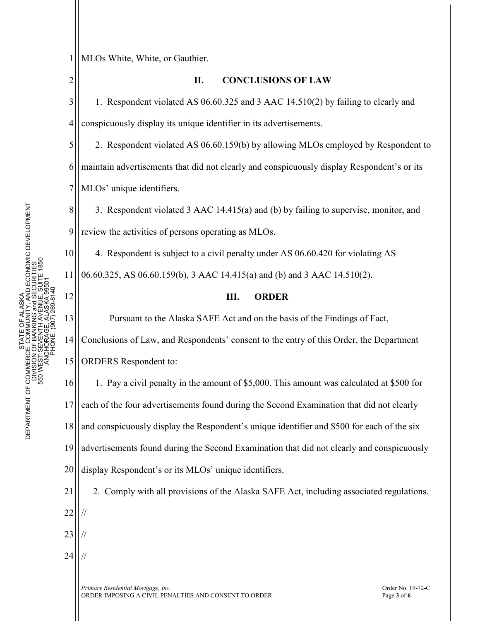## 1 MLOs White, White, or Gauthier.

2

10

11

12

13

**II. CONCLUSIONS OF LAW**

3 4 1. Respondent violated AS 06.60.325 and 3 AAC 14.510(2) by failing to clearly and conspicuously display its unique identifier in its advertisements.

5 6 7 2. Respondent violated AS 06.60.159(b) by allowing MLOs employed by Respondent to maintain advertisements that did not clearly and conspicuously display Respondent's or its MLOs' unique identifiers.

8 9 3. Respondent violated 3 AAC 14.415(a) and (b) by failing to supervise, monitor, and review the activities of persons operating as MLOs.

4. Respondent is subject to a civil penalty under AS 06.60.420 for violating AS 06.60.325, AS 06.60.159(b), 3 AAC 14.415(a) and (b) and 3 AAC 14.510(2).

## **III. ORDER**

Pursuant to the Alaska SAFE Act and on the basis of the Findings of Fact,

14 15 Conclusions of Law, and Respondents' consent to the entry of this Order, the Department ORDERS Respondent to:

16 17 18 19 20 1. Pay a civil penalty in the amount of \$5,000. This amount was calculated at \$500 for each of the four advertisements found during the Second Examination that did not clearly and conspicuously display the Respondent's unique identifier and \$500 for each of the six advertisements found during the Second Examination that did not clearly and conspicuously display Respondent's or its MLOs' unique identifiers.

21 22 23 2. Comply with all provisions of the Alaska SAFE Act, including associated regulations. // //

24 //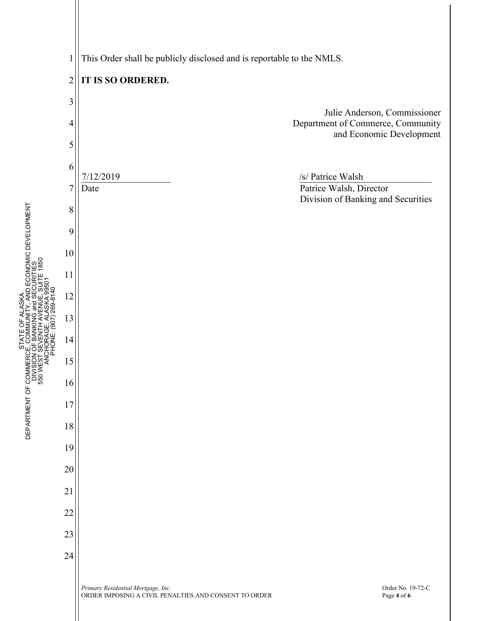1 This Order shall be publicly disclosed and is reportable to the NMLS.



STATE OF ALASKA DEPARTMENT OF COMMERCE, COMMUNITY, AND ECONOMIC DEVELOPMENT

Ξ

OF ALASKA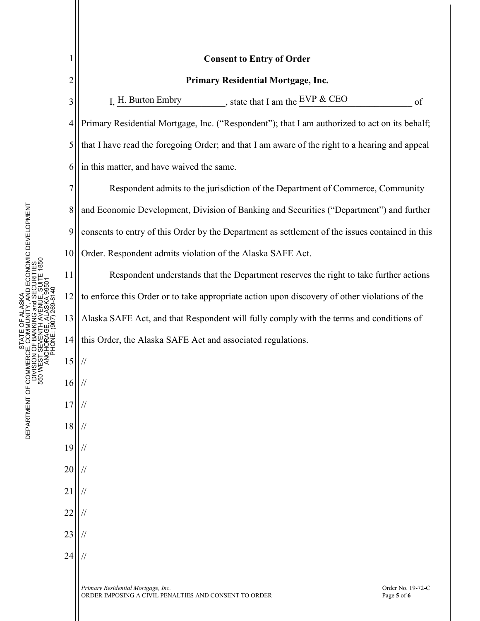| 1              | <b>Consent to Entry of Order</b>                                                                                                |
|----------------|---------------------------------------------------------------------------------------------------------------------------------|
| $\overline{2}$ | Primary Residential Mortgage, Inc.                                                                                              |
| 3              | $\frac{EVP & CEO}{EVP \cdot EVO}$<br>I, H. Burton Embry<br>of                                                                   |
| $\overline{4}$ | Primary Residential Mortgage, Inc. ("Respondent"); that I am authorized to act on its behalf;                                   |
| 5              | that I have read the foregoing Order; and that I am aware of the right to a hearing and appeal                                  |
| 6              | in this matter, and have waived the same.                                                                                       |
| 7              | Respondent admits to the jurisdiction of the Department of Commerce, Community                                                  |
| 8              | and Economic Development, Division of Banking and Securities ("Department") and further                                         |
| 9              | consents to entry of this Order by the Department as settlement of the issues contained in this                                 |
| 10             | Order. Respondent admits violation of the Alaska SAFE Act.                                                                      |
| 11             | Respondent understands that the Department reserves the right to take further actions                                           |
| 12             | to enforce this Order or to take appropriate action upon discovery of other violations of the                                   |
| 13             | Alaska SAFE Act, and that Respondent will fully comply with the terms and conditions of                                         |
| 14             | this Order, the Alaska SAFE Act and associated regulations.                                                                     |
| 15             |                                                                                                                                 |
| 16             |                                                                                                                                 |
| 17             |                                                                                                                                 |
| 18             |                                                                                                                                 |
| 19             |                                                                                                                                 |
| 20             |                                                                                                                                 |
| 21             |                                                                                                                                 |
| 22             |                                                                                                                                 |
| 23             |                                                                                                                                 |
| 24             |                                                                                                                                 |
|                | Primary Residential Mortgage, Inc.<br>Order No. 19-72-C<br>ORDER IMPOSING A CIVIL PENALTIES AND CONSENT TO ORDER<br>Page 5 of 6 |

DEPARTMENT OF COMMERCE, COMMUNITY, AND ECONOMIC DEVELOPMENT<br>DIVISION OF BANKING and SECURITIES<br>550 WEST SEVENTH AVENUE, SUITE 1850<br>550 WEST SEVENTH AVENUE, SUITE 1850<br>ANCINE (907) 289-8140 DEPARTMENT OF COMMERCE, COMMUNITY, AND ECONOMIC DEVELOPMENT 550 WEST SEVENTH AVENUE, SUITE 1850 DIVISION OF BANKING and SECURITIES ANCHORAGE, ALASKA 99501 PHONE: (907) 269-8140 STATE OF ALASKA